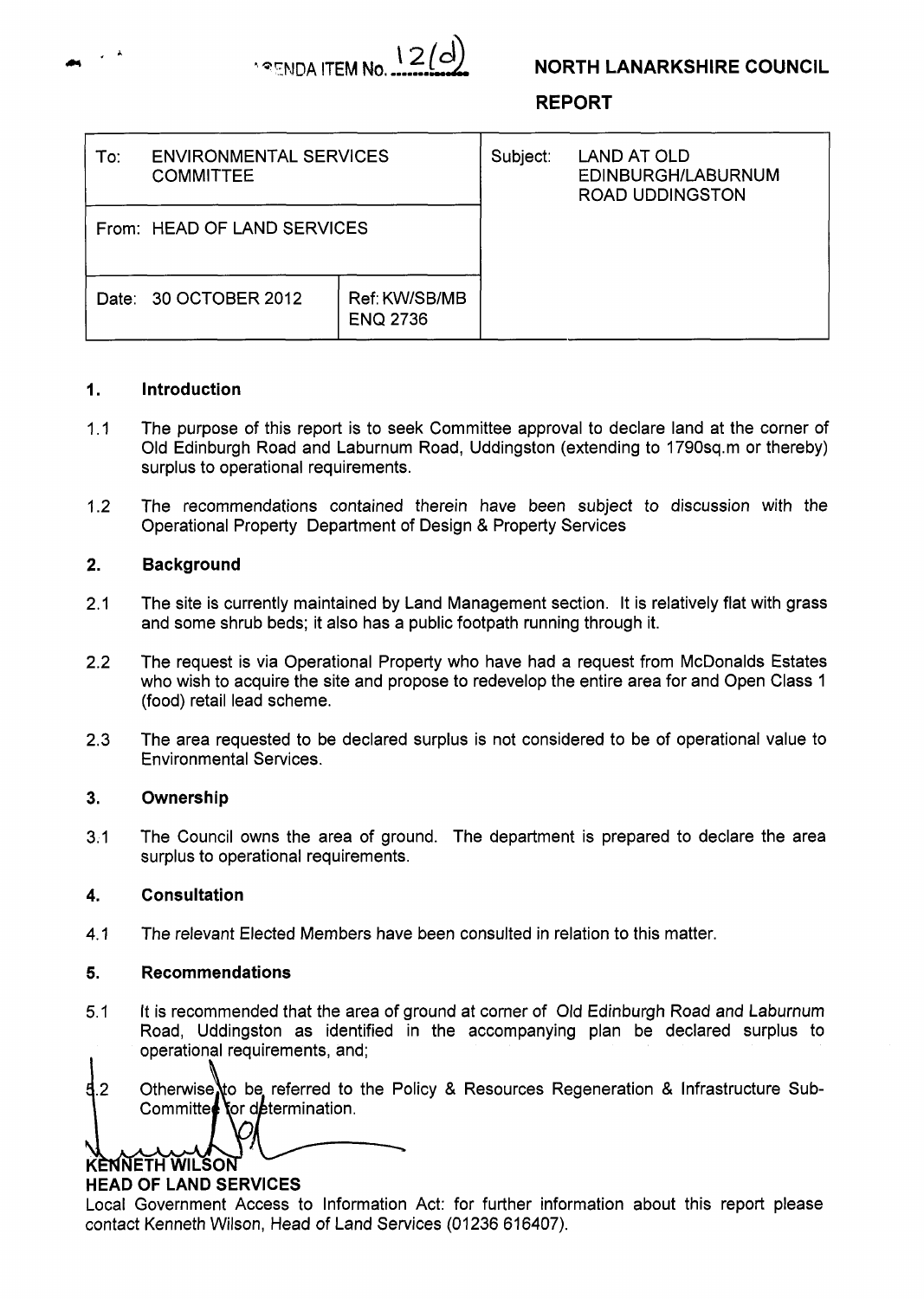

## **NORTH LANARKSHIRE COUNCIL**

**REPORT** 

| To:                         | <b>ENVIRONMENTAL SERVICES</b><br><b>COMMITTEE</b> |                                  | Subject: | <b>LAND AT OLD</b><br>EDINBURGH/LABURNUM<br><b>ROAD UDDINGSTON</b> |
|-----------------------------|---------------------------------------------------|----------------------------------|----------|--------------------------------------------------------------------|
| From: HEAD OF LAND SERVICES |                                                   |                                  |          |                                                                    |
|                             | Date: 30 OCTOBER 2012                             | Ref: KW/SB/MB<br><b>ENQ 2736</b> |          |                                                                    |

#### **1. Introduction**

- 1.1 The purpose of this report is to seek Committee approval to declare land at the corner of Old Edinburgh Road and Laburnum Road, Uddingston (extending to 1790sq.m or thereby) surplus to operational requirements.
- 1.2 The recommendations contained therein have been subject to discussion with the Operational Property Department of Design & Property Services

#### **2. Background**

- 2.1 The site is currently maintained by Land Management section. It is relatively flat with grass and some shrub beds; it also has a public footpath running through it.
- 2.2 The request is via Operational Property who have had a request from McDonalds Estates who wish to acquire the site and propose to redevelop the entire area for and Open Class 1 (food) retail lead scheme.
- 2.3 The area requested to be declared surplus is not considered to be of operational value to Environmental Services.

#### **3. Ownership**

3.1 The Council owns the area of ground. The department is prepared to declare the area surplus to operational requirements.

#### **4. Consultation**

4.1 The relevant Elected Members have been consulted in relation to this matter.

#### **5. Recommendations**

- 5.1 It is recommended that the area of ground at corner of Old Edinburgh Road and Laburnum Road, Uddingston as identified in the accompanying plan be declared surplus to operational requirements, and;
- n 4.2 & Resources Regeneration & Infrastructure Sub-Committed for determination.

# KÈNNETH WILSON

### **HEAD OF LAND SERVICES**

Local Government Access to Information Act: for further information about this report please contact Kenneth Wilson, Head of Land Services (01236 616407).